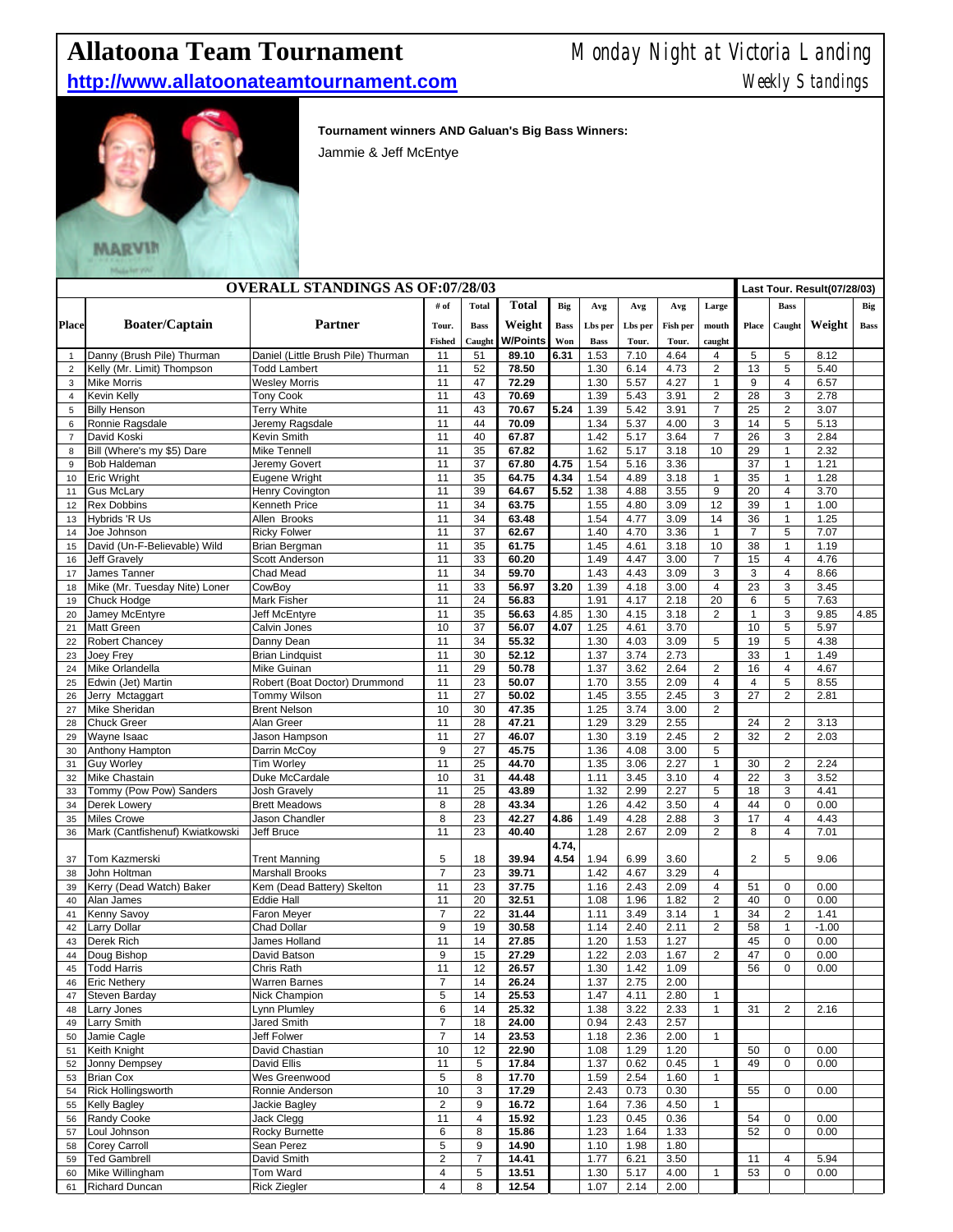## **Allatoona Team Tournament** Monday Night at Victoria Landing

## **http://www.allatoonateamtournament.com** Meekly Standings



**Tournament winners AND Galuan's Big Bass Winners:** 

Jammie & Jeff McEntye

| <b>OVERALL STANDINGS AS OF:07/28/03</b> |                                                     |                                                      |                                  |                 |                 |             |              |              |                 | Last Tour. Result(07/28/03) |                |                         |              |             |
|-----------------------------------------|-----------------------------------------------------|------------------------------------------------------|----------------------------------|-----------------|-----------------|-------------|--------------|--------------|-----------------|-----------------------------|----------------|-------------------------|--------------|-------------|
|                                         |                                                     |                                                      | # of                             | <b>Total</b>    | <b>Total</b>    | Big         | Avg          | Avg          | Avg             | Large                       |                | <b>Bass</b>             |              | Big         |
| <b>Place</b>                            | <b>Boater/Captain</b>                               | <b>Partner</b>                                       | Tour.                            | <b>Bass</b>     | Weight          | <b>Bass</b> | Lbs per      | Lbs per      | <b>Fish per</b> | mouth                       | Place          | Caught                  | Weight       | <b>Bass</b> |
|                                         |                                                     |                                                      | <b>Fished</b>                    | Caught          | <b>W/Points</b> | Won         | <b>Bass</b>  | Tour.        | Tour.           | caught                      |                |                         |              |             |
| $\mathbf{1}$                            | Danny (Brush Pile) Thurman                          | Daniel (Little Brush Pile) Thurman                   | 11                               | 51              | 89.10           | 6.31        | 1.53         | 7.10         | 4.64            | 4                           | 5              | 5                       | 8.12         |             |
| $\overline{2}$                          | Kelly (Mr. Limit) Thompson                          | <b>Todd Lambert</b>                                  | 11                               | 52              | 78.50           |             | 1.30         | 6.14         | 4.73            | 2                           | 13             | 5                       | 5.40         |             |
| 3                                       | <b>Mike Morris</b>                                  | <b>Wesley Morris</b>                                 | 11                               | 47              | 72.29           |             | 1.30         | 5.57         | 4.27            | $\mathbf{1}$                | 9              | 4                       | 6.57         |             |
| $\overline{4}$                          | Kevin Kelly                                         | <b>Tony Cook</b>                                     | 11                               | 43              | 70.69           |             | 1.39         | 5.43         | 3.91            | $\overline{c}$              | 28             | 3                       | 2.78         |             |
| 5<br>6                                  | <b>Billy Henson</b><br>Ronnie Ragsdale              | <b>Terry White</b><br>Jeremy Ragsdale                | 11<br>11                         | 43<br>44        | 70.67<br>70.09  | 5.24        | 1.39<br>1.34 | 5.42<br>5.37 | 3.91<br>4.00    | $\overline{7}$<br>3         | 25<br>14       | $\overline{c}$<br>5     | 3.07<br>5.13 |             |
| $\overline{7}$                          | David Koski                                         | Kevin Smith                                          | 11                               | 40              | 67.87           |             | 1.42         | 5.17         | 3.64            | $\overline{7}$              | 26             | 3                       | 2.84         |             |
| 8                                       | Bill (Where's my \$5) Dare                          | Mike Tennell                                         | 11                               | 35              | 67.82           |             | 1.62         | 5.17         | 3.18            | 10                          | 29             | 1                       | 2.32         |             |
| 9                                       | Bob Haldeman                                        | Jeremy Govert                                        | 11                               | $\overline{37}$ | 67.80           | 4.75        | 1.54         | 5.16         | 3.36            |                             | 37             | $\mathbf{1}$            | 1.21         |             |
| 10                                      | Eric Wright                                         | Eugene Wright                                        | 11                               | 35              | 64.75           | 4.34        | 1.54         | 4.89         | 3.18            | $\mathbf{1}$                | 35             | 1                       | 1.28         |             |
| 11                                      | <b>Gus McLary</b>                                   | Henry Covington                                      | 11                               | 39              | 64.67           | 5.52        | 1.38         | 4.88         | 3.55            | 9                           | 20             | 4                       | 3.70         |             |
| 12                                      | <b>Rex Dobbins</b>                                  | Kenneth Price                                        | 11                               | 34              | 63.75           |             | 1.55         | 4.80         | 3.09            | 12                          | 39             | $\mathbf{1}$            | 1.00         |             |
| 13                                      | Hybrids 'R Us                                       | Allen Brooks                                         | 11                               | 34              | 63.48           |             | 1.54         | 4.77         | 3.09            | 14                          | 36             | $\mathbf{1}$            | 1.25         |             |
| 14                                      | Joe Johnson                                         | <b>Ricky Folwer</b>                                  | 11<br>11                         | 37              | 62.67           |             | 1.40         | 4.70         | 3.36            | $\mathbf{1}$                | $\overline{7}$ | 5<br>1                  | 7.07         |             |
| 15<br>16                                | David (Un-F-Believable) Wild<br><b>Jeff Gravely</b> | <b>Brian Bergman</b><br>Scott Anderson               | 11                               | 35<br>33        | 61.75<br>60.20  |             | 1.45<br>1.49 | 4.61<br>4.47 | 3.18<br>3.00    | 10<br>$\overline{7}$        | 38<br>15       | 4                       | 1.19<br>4.76 |             |
| 17                                      | James Tanner                                        | Chad Mead                                            | 11                               | 34              | 59.70           |             | 1.43         | 4.43         | 3.09            | 3                           | 3              | $\overline{4}$          | 8.66         |             |
| 18                                      | Mike (Mr. Tuesday Nite) Loner                       | CowBoy                                               | 11                               | 33              | 56.97           | 3.20        | 1.39         | 4.18         | 3.00            | $\overline{4}$              | 23             | 3                       | 3.45         |             |
| 19                                      | Chuck Hodge                                         | Mark Fisher                                          | 11                               | 24              | 56.83           |             | 1.91         | 4.17         | 2.18            | 20                          | 6              | 5                       | 7.63         |             |
| 20                                      | Jamey McEntyre                                      | Jeff McEntyre                                        | 11                               | 35              | 56.63           | 4.85        | 1.30         | 4.15         | 3.18            | 2                           | $\mathbf{1}$   | 3                       | 9.85         | 4.85        |
| 21                                      | Matt Green                                          | Calvin Jones                                         | 10                               | 37              | 56.07           | 4.07        | 1.25         | 4.61         | 3.70            |                             | 10             | 5                       | 5.97         |             |
| 22                                      | Robert Chancey                                      | Danny Dean                                           | 11                               | 34              | 55.32           |             | 1.30         | 4.03         | 3.09            | 5                           | 19             | 5                       | 4.38         |             |
| 23                                      | Joey Frey                                           | <b>Brian Lindquist</b>                               | 11                               | 30              | 52.12           |             | 1.37         | 3.74         | 2.73            |                             | 33             | 1                       | 1.49         |             |
| 24                                      | Mike Orlandella                                     | Mike Guinan                                          | 11                               | 29              | 50.78           |             | 1.37         | 3.62         | 2.64            | $\overline{\mathbf{c}}$     | 16             | 4                       | 4.67         |             |
| 25                                      | Edwin (Jet) Martin                                  | Robert (Boat Doctor) Drummond                        | 11                               | 23              | 50.07           |             | 1.70         | 3.55         | 2.09            | $\overline{4}$              | $\overline{4}$ | 5                       | 8.55         |             |
| 26                                      | Jerry Mctaggart                                     | Tommy Wilson                                         | 11                               | 27              | 50.02           |             | 1.45         | 3.55         | 2.45            | 3                           | 27             | $\overline{2}$          | 2.81         |             |
| 27                                      | Mike Sheridan<br><b>Chuck Greer</b>                 | <b>Brent Nelson</b><br>Alan Greer                    | 10<br>11                         | 30<br>28        | 47.35<br>47.21  |             | 1.25         | 3.74<br>3.29 | 3.00<br>2.55    | 2                           | 24             | $\overline{\mathbf{c}}$ |              |             |
| 28<br>29                                | Wayne Isaac                                         | Jason Hampson                                        | 11                               | 27              | 46.07           |             | 1.29<br>1.30 | 3.19         | 2.45            | 2                           | 32             | $\overline{2}$          | 3.13<br>2.03 |             |
| 30                                      | Anthony Hampton                                     | Darrin McCoy                                         | 9                                | 27              | 45.75           |             | 1.36         | 4.08         | 3.00            | 5                           |                |                         |              |             |
| 31                                      | <b>Guy Worley</b>                                   | Tim Worley                                           | 11                               | 25              | 44.70           |             | 1.35         | 3.06         | 2.27            | $\mathbf{1}$                | 30             | $\overline{\mathbf{c}}$ | 2.24         |             |
| 32                                      | <b>Mike Chastain</b>                                | Duke McCardale                                       | 10                               | 31              | 44.48           |             | 1.11         | 3.45         | 3.10            | $\overline{4}$              | 22             | 3                       | 3.52         |             |
| 33                                      | Tommy (Pow Pow) Sanders                             | <b>Josh Gravely</b>                                  | 11                               | 25              | 43.89           |             | 1.32         | 2.99         | 2.27            | 5                           | 18             | 3                       | 4.41         |             |
| 34                                      | Derek Lowery                                        | <b>Brett Meadows</b>                                 | 8                                | 28              | 43.34           |             | 1.26         | 4.42         | 3.50            | $\overline{\mathbf{4}}$     | 44             | $\pmb{0}$               | 0.00         |             |
| 35                                      | <b>Miles Crowe</b>                                  | Jason Chandler                                       | 8                                | 23              | 42.27           | 4.86        | 1.49         | 4.28         | 2.88            | 3                           | 17             | 4                       | 4.43         |             |
| 36                                      | Mark (Cantfishenuf) Kwiatkowski                     | Jeff Bruce                                           | 11                               | 23              | 40.40           |             | 1.28         | 2.67         | 2.09            | $\overline{2}$              | 8              | $\overline{4}$          | 7.01         |             |
|                                         |                                                     |                                                      |                                  |                 |                 | 4.74,       |              |              |                 |                             |                |                         |              |             |
| 37                                      | Tom Kazmerski                                       | <b>Trent Manning</b>                                 | 5                                | 18              | 39.94           | 4.54        | 1.94         | 6.99         | 3.60            |                             | 2              | 5                       | 9.06         |             |
| 38<br>39                                | John Holtman<br>Kerry (Dead Watch) Baker            | <b>Marshall Brooks</b><br>Kem (Dead Battery) Skelton | $\overline{7}$<br>11             | 23<br>23        | 39.71<br>37.75  |             | 1.42<br>1.16 | 4.67<br>2.43 | 3.29<br>2.09    | 4<br>$\overline{4}$         | 51             | 0                       | 0.00         |             |
| 40                                      | Alan James                                          | Eddie Hall                                           | 11                               | 20              | 32.51           |             | 1.08         | 1.96         | 1.82            | $\overline{c}$              | 40             | $\pmb{0}$               | 0.00         |             |
| 41                                      | Kenny Savoy                                         | Faron Meyer                                          | $\overline{7}$                   | 22              | 31.44           |             | 1.11         | 3.49         | 3.14            | $\mathbf{1}$                | 34             | $\overline{c}$          | 1.41         |             |
| 42                                      | Larry Dollar                                        | Chad Dollar                                          | 9                                | 19              | 30.58           |             | 1.14         | 2.40         | 2.11            | 2                           | 58             | $\mathbf{1}$            | $-1.00$      |             |
| 43                                      | Derek Rich                                          | James Holland                                        | 11                               | 14              | 27.85           |             | 1.20         | 1.53         | 1.27            |                             | 45             | 0                       | 0.00         |             |
| 44                                      | Doug Bishop                                         | David Batson                                         | 9                                | 15              | 27.29           |             | 1.22         | 2.03         | 1.67            | 2                           | 47             | $\pmb{0}$               | 0.00         |             |
| 45                                      | <b>Todd Harris</b>                                  | Chris Rath                                           | 11                               | 12              | 26.57           |             | 1.30         | 1.42         | 1.09            |                             | 56             | $\mathbf 0$             | 0.00         |             |
| 46                                      | <b>Eric Nethery</b>                                 | <b>Warren Barnes</b>                                 | $\overline{\mathcal{I}}$         | 14              | 26.24           |             | 1.37         | 2.75         | 2.00            |                             |                |                         |              |             |
| 47                                      | Steven Barday                                       | Nick Champion                                        | 5                                | 14              | 25.53           |             | 1.47         | 4.11         | 2.80            | $\mathbf{1}$                |                |                         |              |             |
| 48                                      | Larry Jones                                         | Lynn Plumley                                         | 6                                | 14              | 25.32           |             | 1.38         | 3.22         | 2.33            | $\mathbf{1}$                | 31             | $\overline{c}$          | 2.16         |             |
| 49<br>50                                | Larry Smith<br>Jamie Cagle                          | Jared Smith<br>Jeff Folwer                           | $\overline{7}$<br>$\overline{7}$ | 18<br>14        | 24.00<br>23.53  |             | 0.94<br>1.18 | 2.43<br>2.36 | 2.57<br>2.00    | $\mathbf{1}$                |                |                         |              |             |
| 51                                      | Keith Knight                                        | David Chastian                                       | 10                               | 12              | 22.90           |             | 1.08         | 1.29         | 1.20            |                             | 50             | 0                       | 0.00         |             |
| 52                                      | Jonny Dempsey                                       | David Ellis                                          | 11                               | 5               | 17.84           |             | 1.37         | 0.62         | 0.45            | $\mathbf{1}$                | 49             | 0                       | 0.00         |             |
| 53                                      | <b>Brian Cox</b>                                    | Wes Greenwood                                        | 5                                | 8               | 17.70           |             | 1.59         | 2.54         | 1.60            | 1                           |                |                         |              |             |
| 54                                      | Rick Hollingsworth                                  | Ronnie Anderson                                      | 10                               | 3               | 17.29           |             | 2.43         | 0.73         | 0.30            |                             | 55             | 0                       | 0.00         |             |
| 55                                      | <b>Kelly Bagley</b>                                 | Jackie Bagley                                        | $\overline{c}$                   | 9               | 16.72           |             | 1.64         | 7.36         | 4.50            | $\mathbf{1}$                |                |                         |              |             |
| 56                                      | Randy Cooke                                         | Jack Clegg                                           | 11                               | $\overline{4}$  | 15.92           |             | 1.23         | 0.45         | 0.36            |                             | 54             | 0                       | 0.00         |             |
| 57                                      | Loul Johnson                                        | Rocky Burnette                                       | 6                                | 8               | 15.86           |             | 1.23         | 1.64         | 1.33            |                             | 52             | 0                       | 0.00         |             |
| 58                                      | Corey Carroll                                       | Sean Perez                                           | 5                                | 9               | 14.90           |             | 1.10         | 1.98         | 1.80            |                             |                |                         |              |             |
| 59                                      | <b>Ted Gambrell</b>                                 | David Smith                                          | $\overline{c}$                   | 7               | 14.41           |             | 1.77         | 6.21         | 3.50            |                             | 11             | 4                       | 5.94         |             |
| 60                                      | Mike Willingham                                     | Tom Ward                                             | 4                                | 5               | 13.51           |             | 1.30         | 5.17         | 4.00            | $\mathbf{1}$                | 53             | 0                       | 0.00         |             |
| 61                                      | <b>Richard Duncan</b>                               | <b>Rick Ziegler</b>                                  | 4                                | 8               | 12.54           |             | 1.07         | 2.14         | 2.00            |                             |                |                         |              |             |